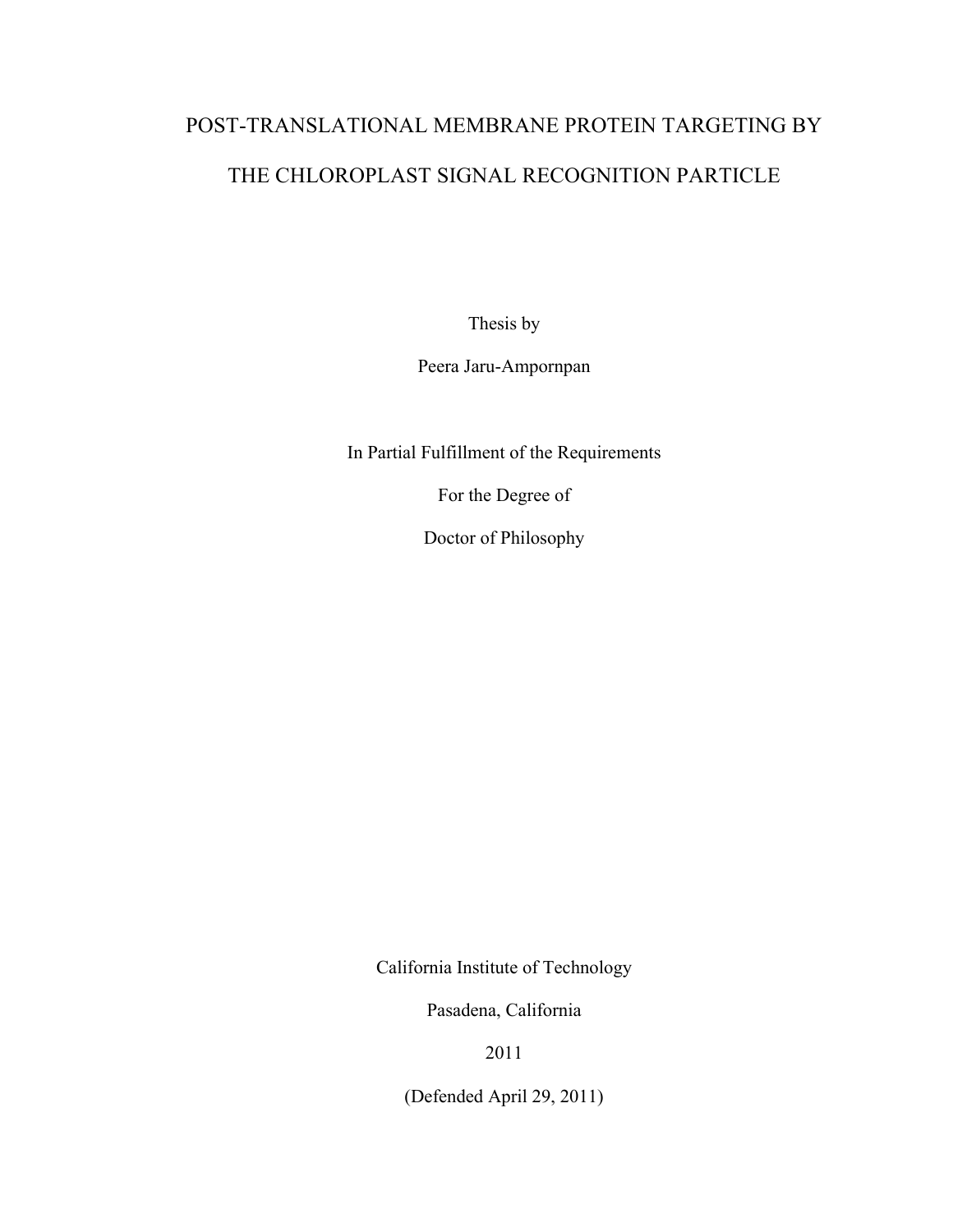# POST-TRANSLATIONAL MEMBRANE PROTEIN TARGETING BY THE CHLOROPLAST SIGNAL RECOGNITION PARTICLE

Thesis by

Peera Jaru-Ampornpan

In Partial Fulfillment of the Requirements

For the Degree of

Doctor of Philosophy

California Institute of Technology

Pasadena, California

2011

(Defended April 29, 2011)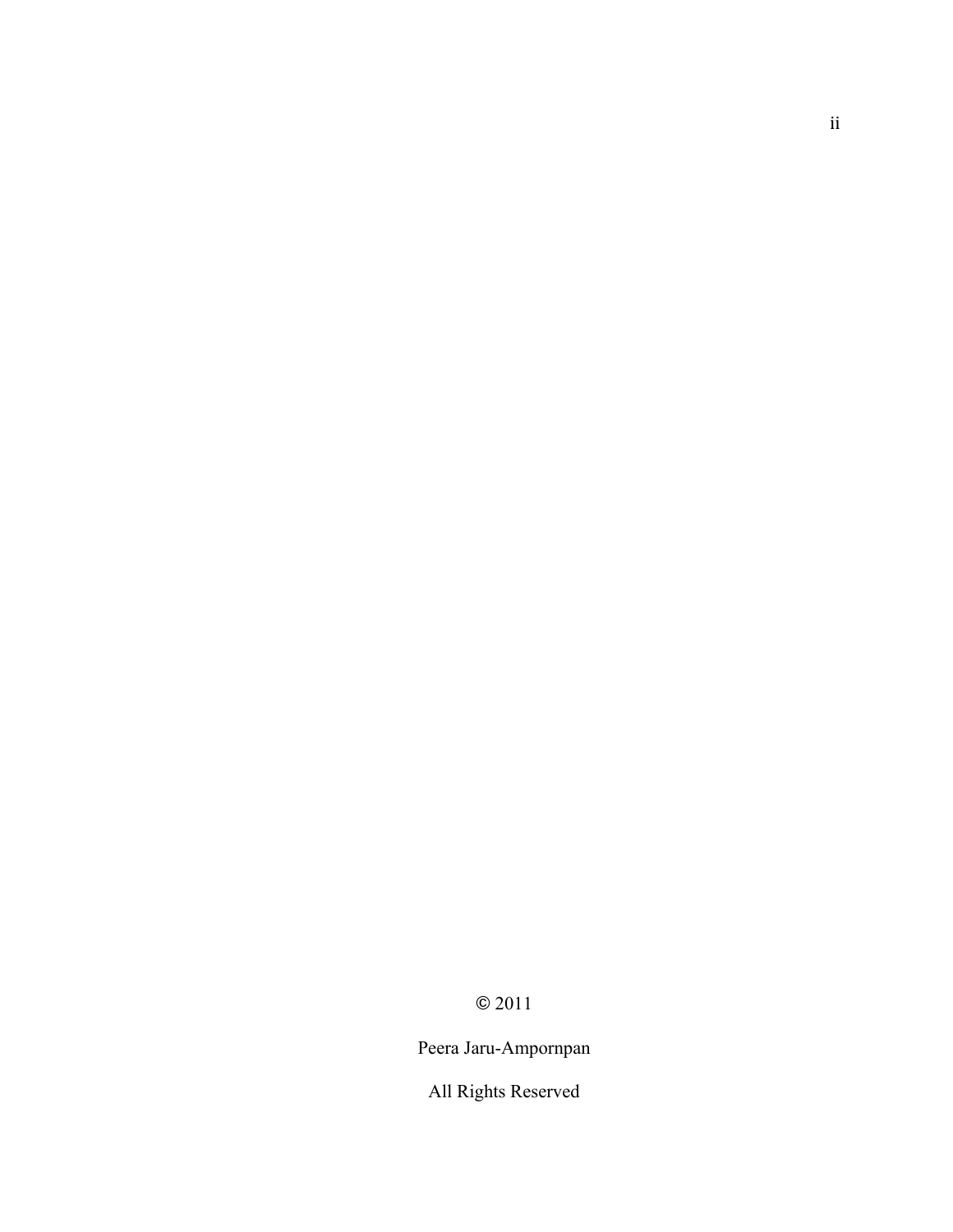## Peera Jaru-Ampornpan

All Rights Reserved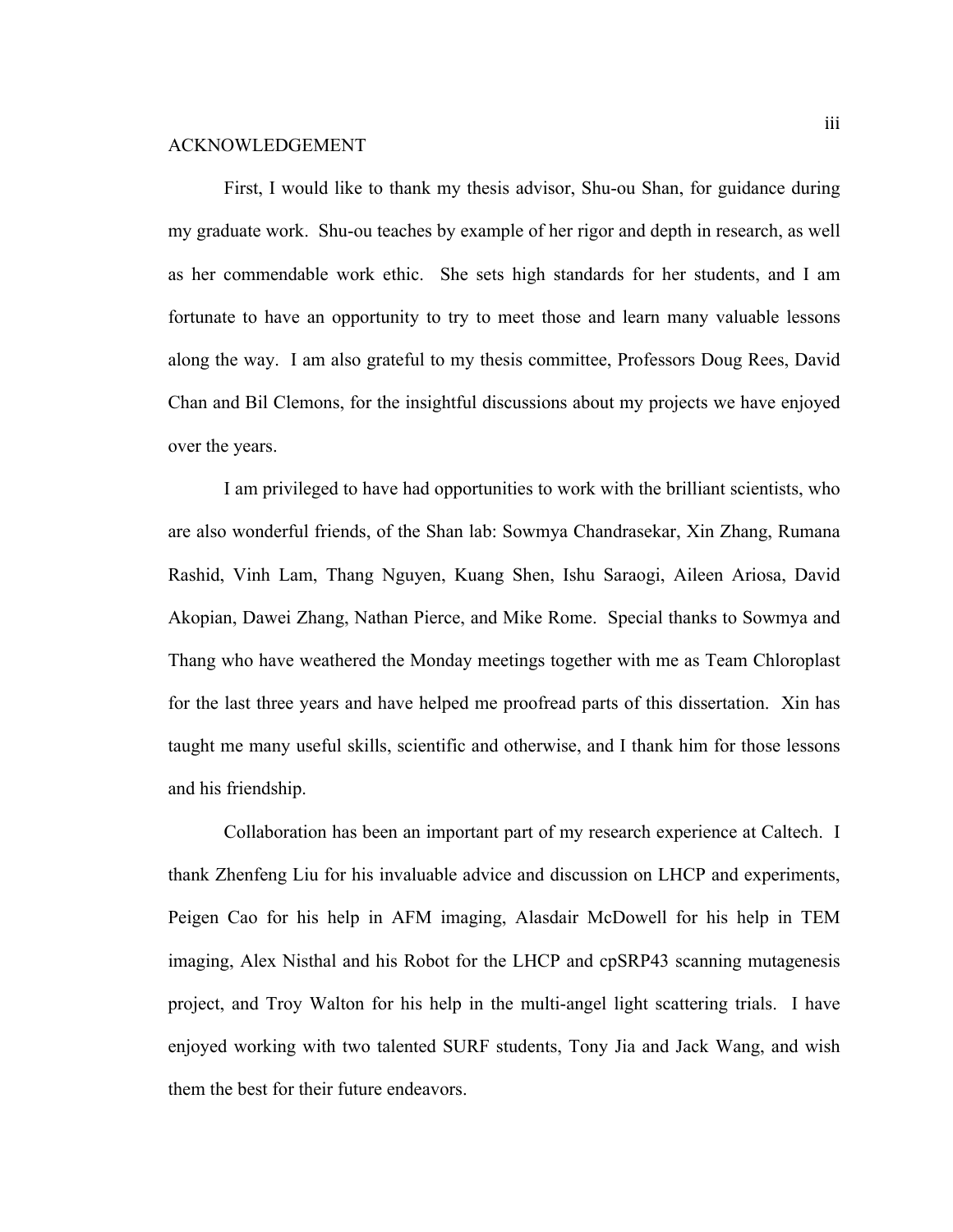#### ACKNOWLEDGEMENT

First, I would like to thank my thesis advisor, Shu-ou Shan, for guidance during my graduate work. Shu-ou teaches by example of her rigor and depth in research, as well as her commendable work ethic. She sets high standards for her students, and I am fortunate to have an opportunity to try to meet those and learn many valuable lessons along the way. I am also grateful to my thesis committee, Professors Doug Rees, David Chan and Bil Clemons, for the insightful discussions about my projects we have enjoyed over the years.

I am privileged to have had opportunities to work with the brilliant scientists, who are also wonderful friends, of the Shan lab: Sowmya Chandrasekar, Xin Zhang, Rumana Rashid, Vinh Lam, Thang Nguyen, Kuang Shen, Ishu Saraogi, Aileen Ariosa, David Akopian, Dawei Zhang, Nathan Pierce, and Mike Rome. Special thanks to Sowmya and Thang who have weathered the Monday meetings together with me as Team Chloroplast for the last three years and have helped me proofread parts of this dissertation. Xin has taught me many useful skills, scientific and otherwise, and I thank him for those lessons and his friendship.

Collaboration has been an important part of my research experience at Caltech. I thank Zhenfeng Liu for his invaluable advice and discussion on LHCP and experiments, Peigen Cao for his help in AFM imaging, Alasdair McDowell for his help in TEM imaging, Alex Nisthal and his Robot for the LHCP and cpSRP43 scanning mutagenesis project, and Troy Walton for his help in the multi-angel light scattering trials. I have enjoyed working with two talented SURF students, Tony Jia and Jack Wang, and wish them the best for their future endeavors.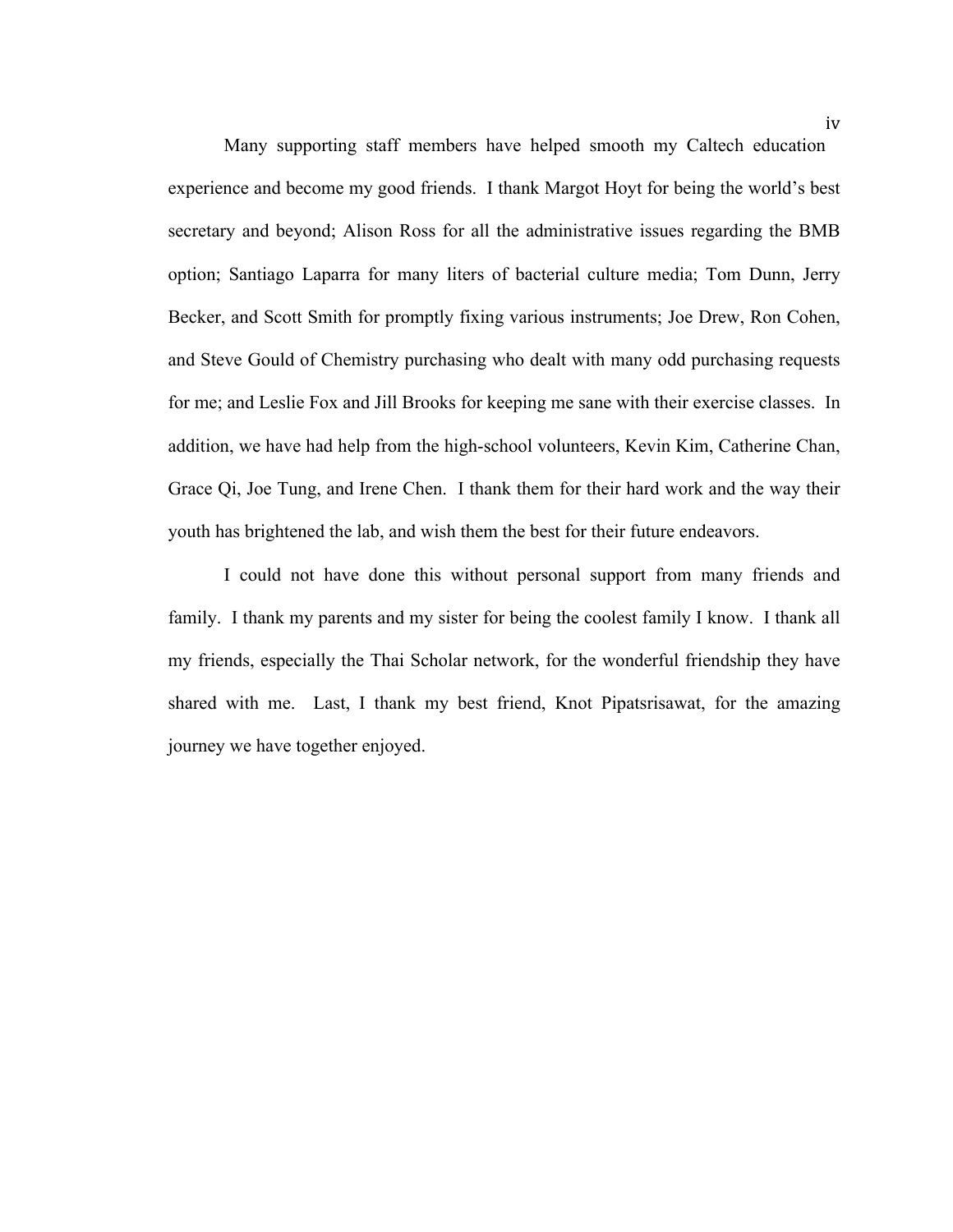Many supporting staff members have helped smooth my Caltech education experience and become my good friends. I thank Margot Hoyt for being the world's best secretary and beyond; Alison Ross for all the administrative issues regarding the BMB option; Santiago Laparra for many liters of bacterial culture media; Tom Dunn, Jerry Becker, and Scott Smith for promptly fixing various instruments; Joe Drew, Ron Cohen, and Steve Gould of Chemistry purchasing who dealt with many odd purchasing requests for me; and Leslie Fox and Jill Brooks for keeping me sane with their exercise classes. In addition, we have had help from the high-school volunteers, Kevin Kim, Catherine Chan, Grace Qi, Joe Tung, and Irene Chen. I thank them for their hard work and the way their youth has brightened the lab, and wish them the best for their future endeavors.

I could not have done this without personal support from many friends and family. I thank my parents and my sister for being the coolest family I know. I thank all my friends, especially the Thai Scholar network, for the wonderful friendship they have shared with me. Last, I thank my best friend, Knot Pipatsrisawat, for the amazing journey we have together enjoyed.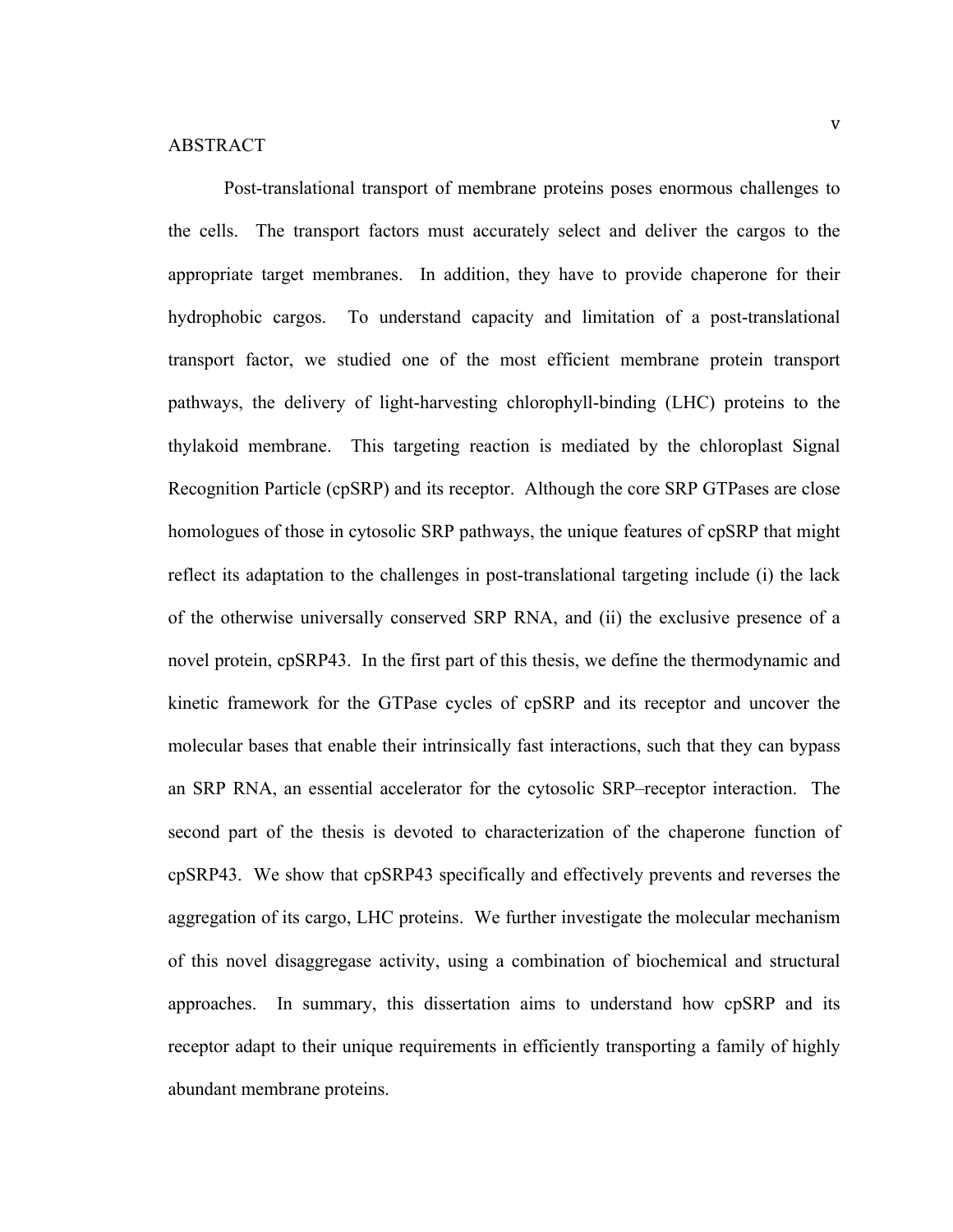Post-translational transport of membrane proteins poses enormous challenges to the cells. The transport factors must accurately select and deliver the cargos to the appropriate target membranes. In addition, they have to provide chaperone for their hydrophobic cargos. To understand capacity and limitation of a post-translational transport factor, we studied one of the most efficient membrane protein transport pathways, the delivery of light-harvesting chlorophyll-binding (LHC) proteins to the thylakoid membrane. This targeting reaction is mediated by the chloroplast Signal Recognition Particle (cpSRP) and its receptor. Although the core SRP GTPases are close homologues of those in cytosolic SRP pathways, the unique features of cpSRP that might reflect its adaptation to the challenges in post-translational targeting include (i) the lack of the otherwise universally conserved SRP RNA, and (ii) the exclusive presence of a novel protein, cpSRP43. In the first part of this thesis, we define the thermodynamic and kinetic framework for the GTPase cycles of cpSRP and its receptor and uncover the molecular bases that enable their intrinsically fast interactions, such that they can bypass an SRP RNA, an essential accelerator for the cytosolic SRP–receptor interaction. The second part of the thesis is devoted to characterization of the chaperone function of cpSRP43. We show that cpSRP43 specifically and effectively prevents and reverses the aggregation of its cargo, LHC proteins. We further investigate the molecular mechanism of this novel disaggregase activity, using a combination of biochemical and structural approaches. In summary, this dissertation aims to understand how cpSRP and its receptor adapt to their unique requirements in efficiently transporting a family of highly abundant membrane proteins.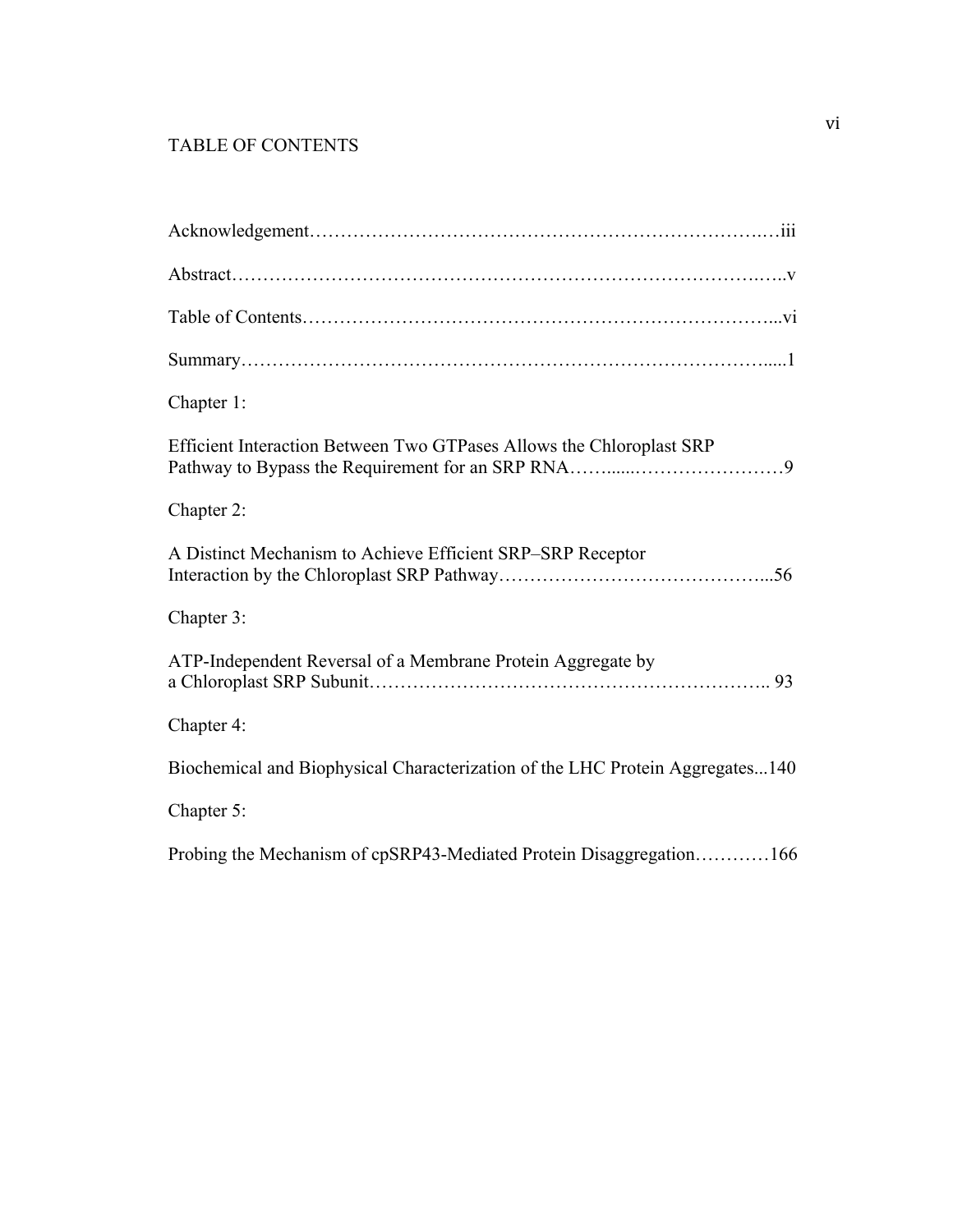### TABLE OF CONTENTS

| Chapter 1:                                                                    |
|-------------------------------------------------------------------------------|
| Efficient Interaction Between Two GTPases Allows the Chloroplast SRP          |
| Chapter 2:                                                                    |
| A Distinct Mechanism to Achieve Efficient SRP-SRP Receptor                    |
| Chapter 3:                                                                    |
| ATP-Independent Reversal of a Membrane Protein Aggregate by                   |
| Chapter 4:                                                                    |
| Biochemical and Biophysical Characterization of the LHC Protein Aggregates140 |
| Chapter 5:                                                                    |
| Probing the Mechanism of cpSRP43-Mediated Protein Disaggregation166           |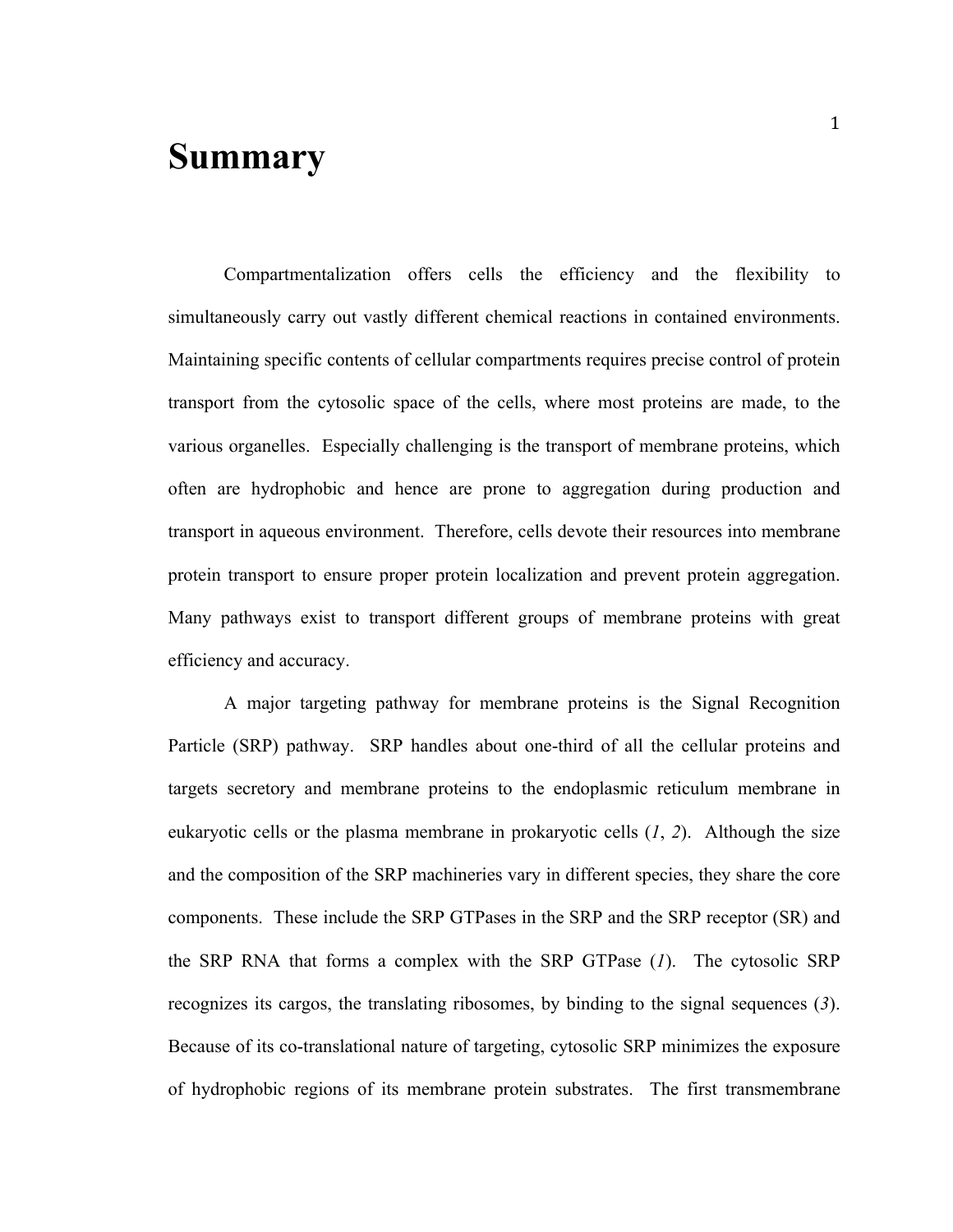# **Summary**

Compartmentalization offers cells the efficiency and the flexibility to simultaneously carry out vastly different chemical reactions in contained environments. Maintaining specific contents of cellular compartments requires precise control of protein transport from the cytosolic space of the cells, where most proteins are made, to the various organelles. Especially challenging is the transport of membrane proteins, which often are hydrophobic and hence are prone to aggregation during production and transport in aqueous environment. Therefore, cells devote their resources into membrane protein transport to ensure proper protein localization and prevent protein aggregation. Many pathways exist to transport different groups of membrane proteins with great efficiency and accuracy.

A major targeting pathway for membrane proteins is the Signal Recognition Particle (SRP) pathway. SRP handles about one-third of all the cellular proteins and targets secretory and membrane proteins to the endoplasmic reticulum membrane in eukaryotic cells or the plasma membrane in prokaryotic cells (*1*, *2*). Although the size and the composition of the SRP machineries vary in different species, they share the core components. These include the SRP GTPases in the SRP and the SRP receptor (SR) and the SRP RNA that forms a complex with the SRP GTPase (*1*). The cytosolic SRP recognizes its cargos, the translating ribosomes, by binding to the signal sequences (*3*). Because of its co-translational nature of targeting, cytosolic SRP minimizes the exposure of hydrophobic regions of its membrane protein substrates. The first transmembrane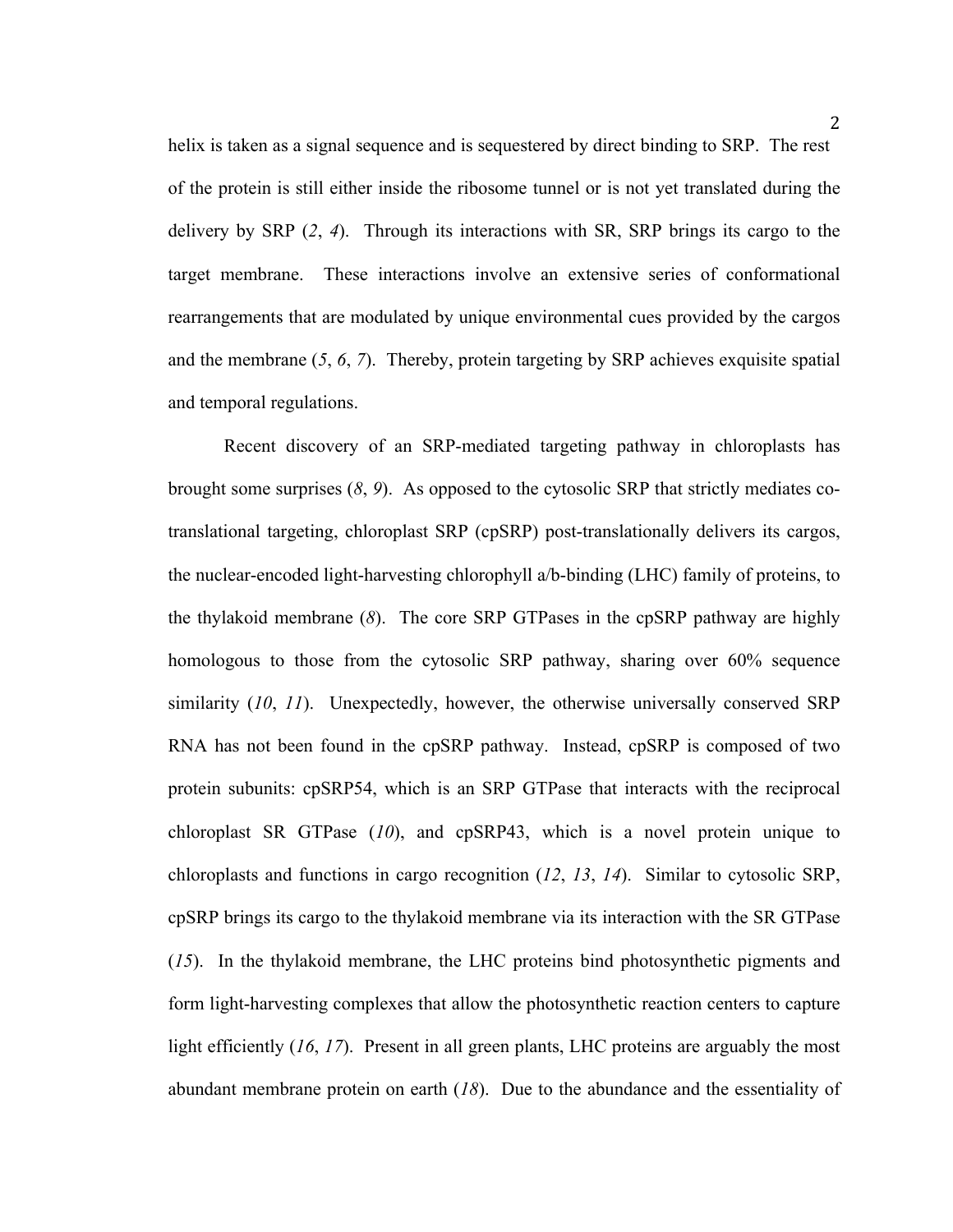helix is taken as a signal sequence and is sequestered by direct binding to SRP. The rest of the protein is still either inside the ribosome tunnel or is not yet translated during the delivery by SRP (*2*, *4*). Through its interactions with SR, SRP brings its cargo to the target membrane. These interactions involve an extensive series of conformational rearrangements that are modulated by unique environmental cues provided by the cargos and the membrane (*5*, *6*, *7*). Thereby, protein targeting by SRP achieves exquisite spatial and temporal regulations.

Recent discovery of an SRP-mediated targeting pathway in chloroplasts has brought some surprises (*8*, *9*). As opposed to the cytosolic SRP that strictly mediates cotranslational targeting, chloroplast SRP (cpSRP) post-translationally delivers its cargos, the nuclear-encoded light-harvesting chlorophyll a/b-binding (LHC) family of proteins, to the thylakoid membrane (*8*). The core SRP GTPases in the cpSRP pathway are highly homologous to those from the cytosolic SRP pathway, sharing over 60% sequence similarity (*10*, *11*). Unexpectedly, however, the otherwise universally conserved SRP RNA has not been found in the cpSRP pathway. Instead, cpSRP is composed of two protein subunits: cpSRP54, which is an SRP GTPase that interacts with the reciprocal chloroplast SR GTPase (*10*), and cpSRP43, which is a novel protein unique to chloroplasts and functions in cargo recognition (*12*, *13*, *14*). Similar to cytosolic SRP, cpSRP brings its cargo to the thylakoid membrane via its interaction with the SR GTPase (*15*). In the thylakoid membrane, the LHC proteins bind photosynthetic pigments and form light-harvesting complexes that allow the photosynthetic reaction centers to capture light efficiently (*16*, *17*). Present in all green plants, LHC proteins are arguably the most abundant membrane protein on earth (*18*). Due to the abundance and the essentiality of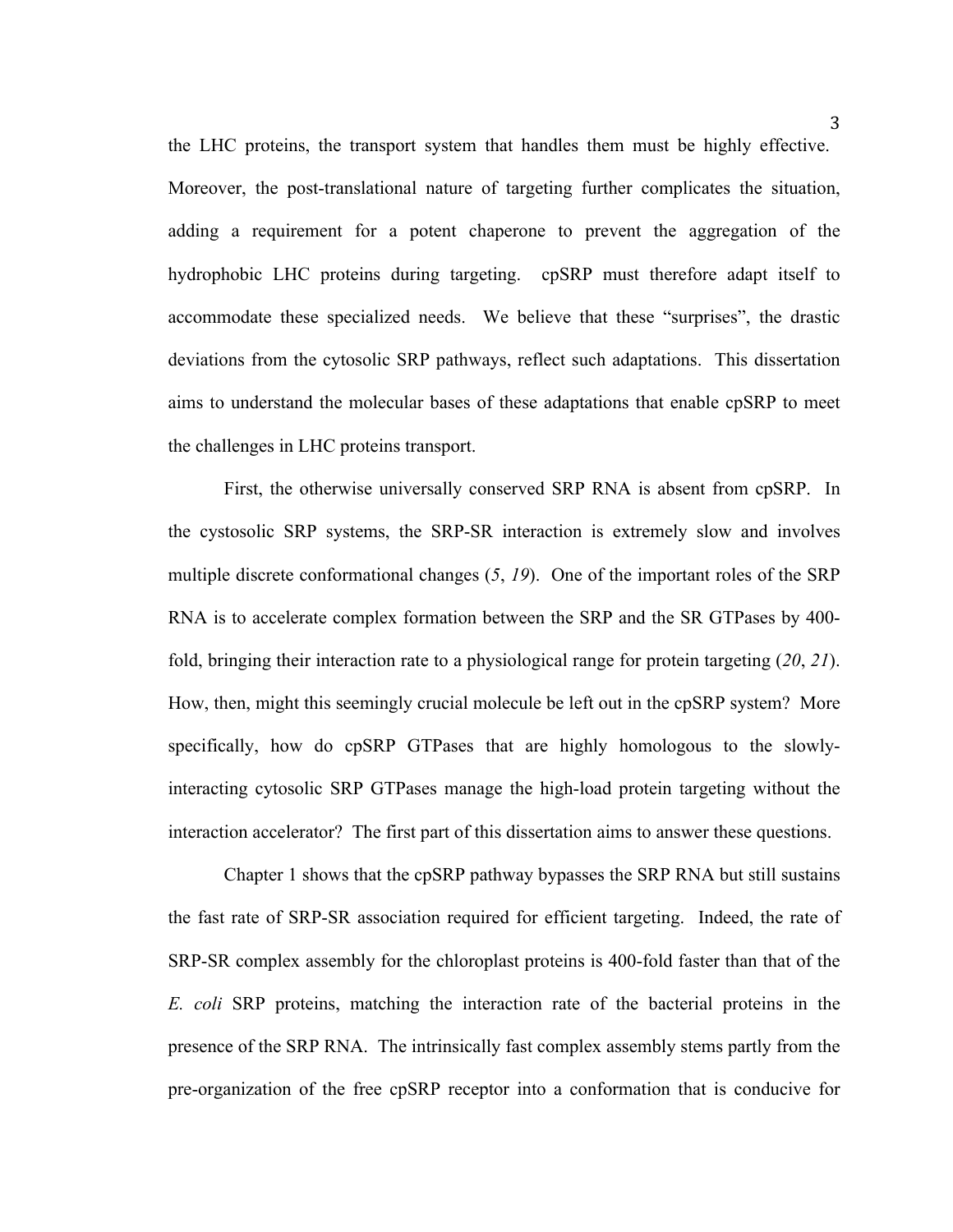the LHC proteins, the transport system that handles them must be highly effective. Moreover, the post-translational nature of targeting further complicates the situation, adding a requirement for a potent chaperone to prevent the aggregation of the hydrophobic LHC proteins during targeting. cpSRP must therefore adapt itself to accommodate these specialized needs. We believe that these "surprises", the drastic deviations from the cytosolic SRP pathways, reflect such adaptations. This dissertation aims to understand the molecular bases of these adaptations that enable cpSRP to meet the challenges in LHC proteins transport.

First, the otherwise universally conserved SRP RNA is absent from cpSRP. In the cystosolic SRP systems, the SRP-SR interaction is extremely slow and involves multiple discrete conformational changes (*5*, *19*). One of the important roles of the SRP RNA is to accelerate complex formation between the SRP and the SR GTPases by 400 fold, bringing their interaction rate to a physiological range for protein targeting (*20*, *21*). How, then, might this seemingly crucial molecule be left out in the cpSRP system? More specifically, how do cpSRP GTPases that are highly homologous to the slowlyinteracting cytosolic SRP GTPases manage the high-load protein targeting without the interaction accelerator? The first part of this dissertation aims to answer these questions.

Chapter 1 shows that the cpSRP pathway bypasses the SRP RNA but still sustains the fast rate of SRP-SR association required for efficient targeting. Indeed, the rate of SRP-SR complex assembly for the chloroplast proteins is 400-fold faster than that of the *E. coli* SRP proteins, matching the interaction rate of the bacterial proteins in the presence of the SRP RNA. The intrinsically fast complex assembly stems partly from the pre-organization of the free cpSRP receptor into a conformation that is conducive for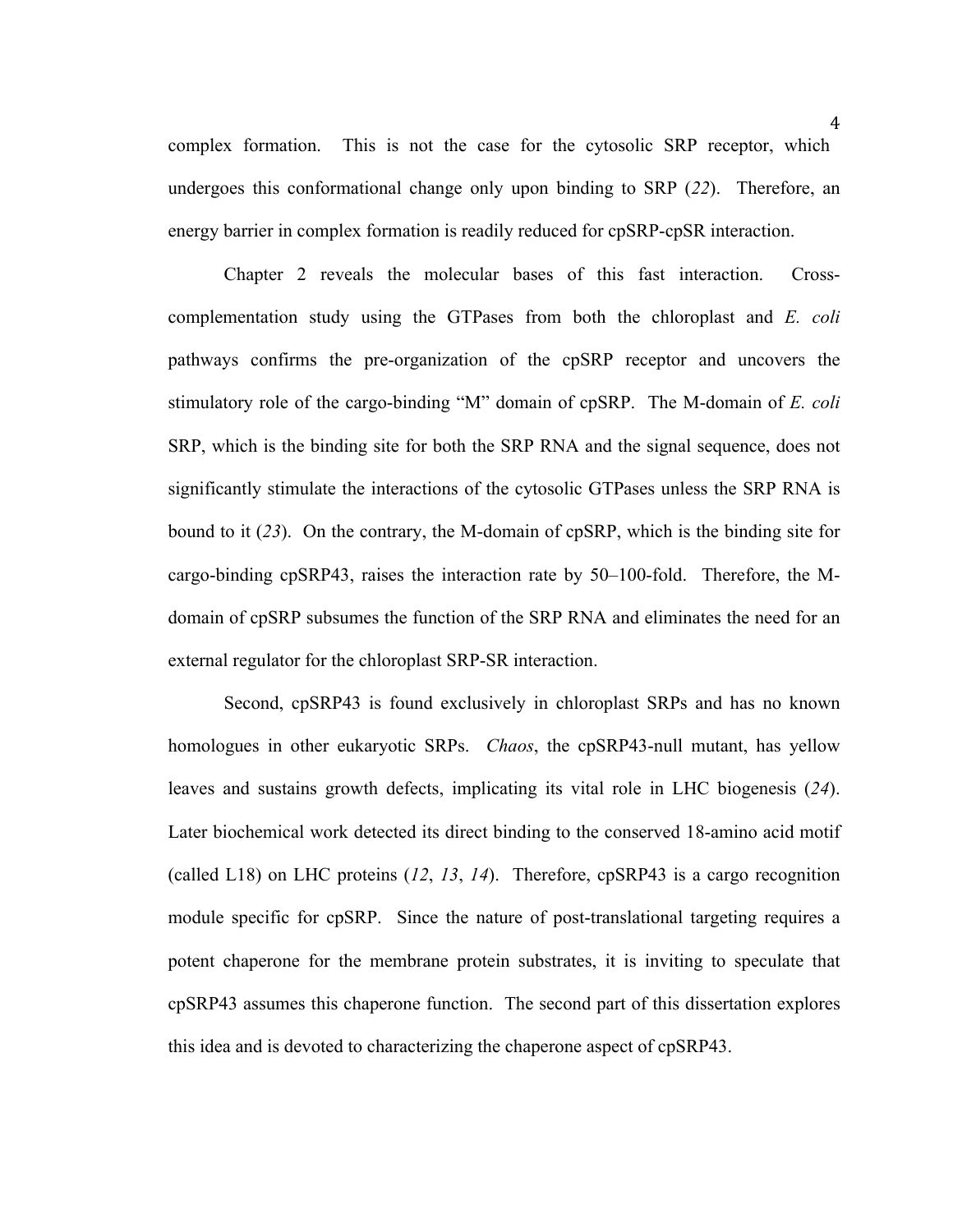complex formation. This is not the case for the cytosolic SRP receptor, which undergoes this conformational change only upon binding to SRP (*22*). Therefore, an energy barrier in complex formation is readily reduced for cpSRP-cpSR interaction.

Chapter 2 reveals the molecular bases of this fast interaction. Crosscomplementation study using the GTPases from both the chloroplast and *E. coli*  pathways confirms the pre-organization of the cpSRP receptor and uncovers the stimulatory role of the cargo-binding "M" domain of cpSRP. The M-domain of *E. coli*  SRP, which is the binding site for both the SRP RNA and the signal sequence, does not significantly stimulate the interactions of the cytosolic GTPases unless the SRP RNA is bound to it (*23*). On the contrary, the M-domain of cpSRP, which is the binding site for cargo-binding cpSRP43, raises the interaction rate by 50–100-fold. Therefore, the Mdomain of cpSRP subsumes the function of the SRP RNA and eliminates the need for an external regulator for the chloroplast SRP-SR interaction.

Second, cpSRP43 is found exclusively in chloroplast SRPs and has no known homologues in other eukaryotic SRPs. *Chaos*, the cpSRP43-null mutant, has yellow leaves and sustains growth defects, implicating its vital role in LHC biogenesis (*24*). Later biochemical work detected its direct binding to the conserved 18-amino acid motif (called L18) on LHC proteins (*12*, *13*, *14*). Therefore, cpSRP43 is a cargo recognition module specific for cpSRP. Since the nature of post-translational targeting requires a potent chaperone for the membrane protein substrates, it is inviting to speculate that cpSRP43 assumes this chaperone function. The second part of this dissertation explores this idea and is devoted to characterizing the chaperone aspect of cpSRP43.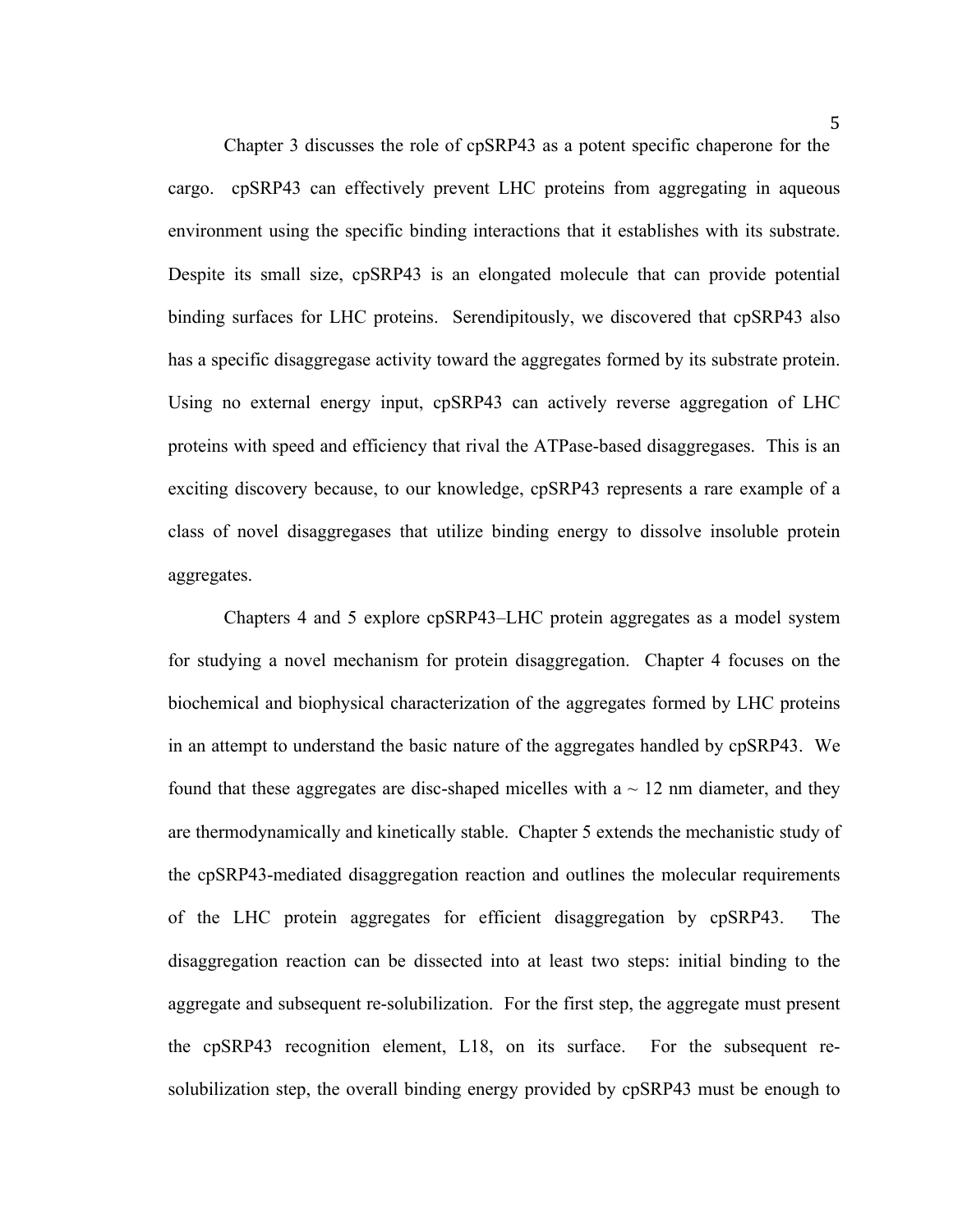Chapter 3 discusses the role of cpSRP43 as a potent specific chaperone for the cargo. cpSRP43 can effectively prevent LHC proteins from aggregating in aqueous environment using the specific binding interactions that it establishes with its substrate. Despite its small size, cpSRP43 is an elongated molecule that can provide potential binding surfaces for LHC proteins. Serendipitously, we discovered that cpSRP43 also has a specific disaggregase activity toward the aggregates formed by its substrate protein. Using no external energy input, cpSRP43 can actively reverse aggregation of LHC proteins with speed and efficiency that rival the ATPase-based disaggregases. This is an exciting discovery because, to our knowledge, cpSRP43 represents a rare example of a class of novel disaggregases that utilize binding energy to dissolve insoluble protein aggregates.

Chapters 4 and 5 explore cpSRP43–LHC protein aggregates as a model system for studying a novel mechanism for protein disaggregation. Chapter 4 focuses on the biochemical and biophysical characterization of the aggregates formed by LHC proteins in an attempt to understand the basic nature of the aggregates handled by cpSRP43. We found that these aggregates are disc-shaped micelles with  $a \sim 12$  nm diameter, and they are thermodynamically and kinetically stable. Chapter 5 extends the mechanistic study of the cpSRP43-mediated disaggregation reaction and outlines the molecular requirements of the LHC protein aggregates for efficient disaggregation by cpSRP43. The disaggregation reaction can be dissected into at least two steps: initial binding to the aggregate and subsequent re-solubilization. For the first step, the aggregate must present the cpSRP43 recognition element, L18, on its surface. For the subsequent resolubilization step, the overall binding energy provided by cpSRP43 must be enough to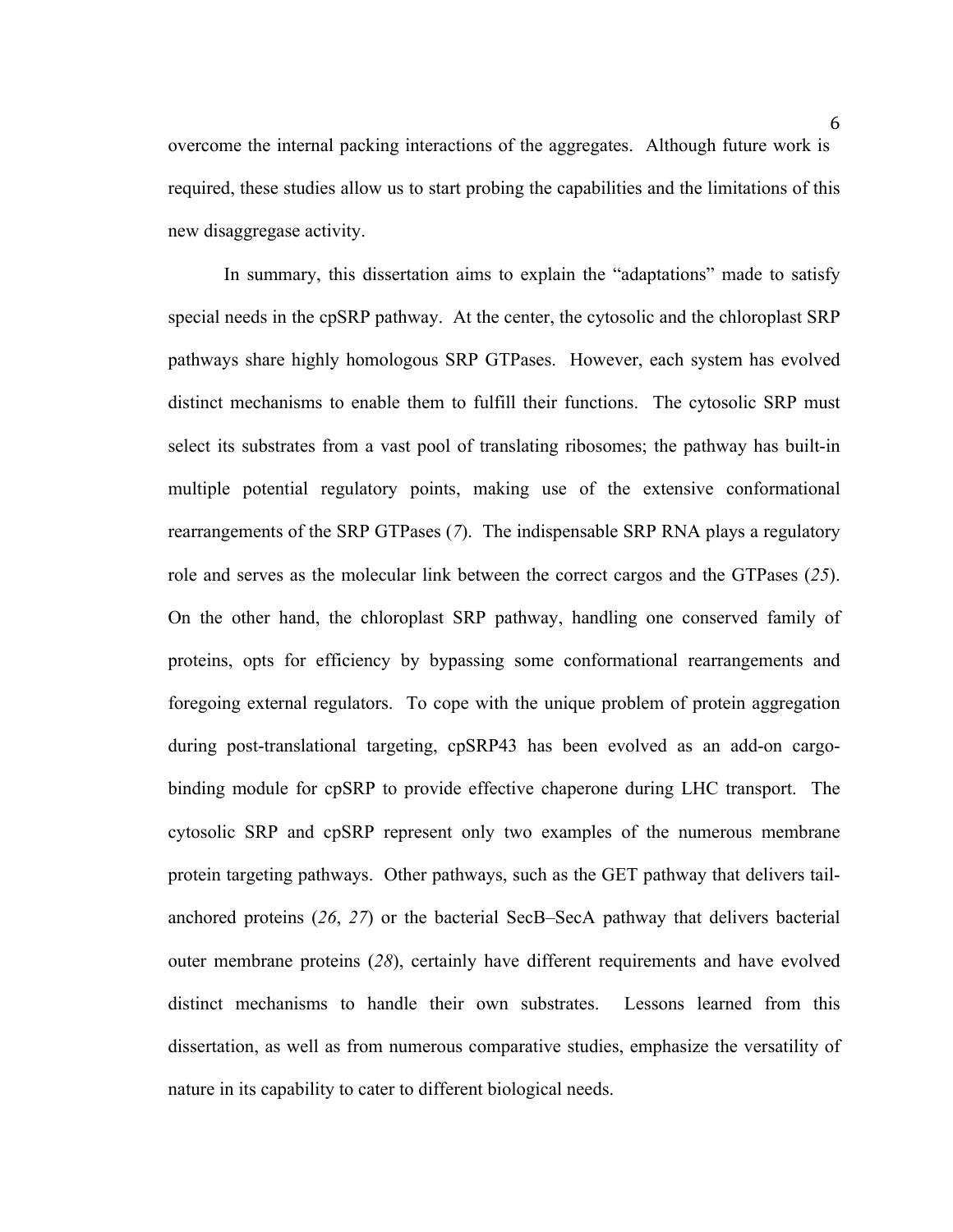overcome the internal packing interactions of the aggregates. Although future work is required, these studies allow us to start probing the capabilities and the limitations of this new disaggregase activity.

In summary, this dissertation aims to explain the "adaptations" made to satisfy special needs in the cpSRP pathway. At the center, the cytosolic and the chloroplast SRP pathways share highly homologous SRP GTPases. However, each system has evolved distinct mechanisms to enable them to fulfill their functions. The cytosolic SRP must select its substrates from a vast pool of translating ribosomes; the pathway has built-in multiple potential regulatory points, making use of the extensive conformational rearrangements of the SRP GTPases (*7*). The indispensable SRP RNA plays a regulatory role and serves as the molecular link between the correct cargos and the GTPases (*25*). On the other hand, the chloroplast SRP pathway, handling one conserved family of proteins, opts for efficiency by bypassing some conformational rearrangements and foregoing external regulators. To cope with the unique problem of protein aggregation during post-translational targeting, cpSRP43 has been evolved as an add-on cargobinding module for cpSRP to provide effective chaperone during LHC transport. The cytosolic SRP and cpSRP represent only two examples of the numerous membrane protein targeting pathways. Other pathways, such as the GET pathway that delivers tailanchored proteins (*26*, *27*) or the bacterial SecB–SecA pathway that delivers bacterial outer membrane proteins (*28*), certainly have different requirements and have evolved distinct mechanisms to handle their own substrates. Lessons learned from this dissertation, as well as from numerous comparative studies, emphasize the versatility of nature in its capability to cater to different biological needs.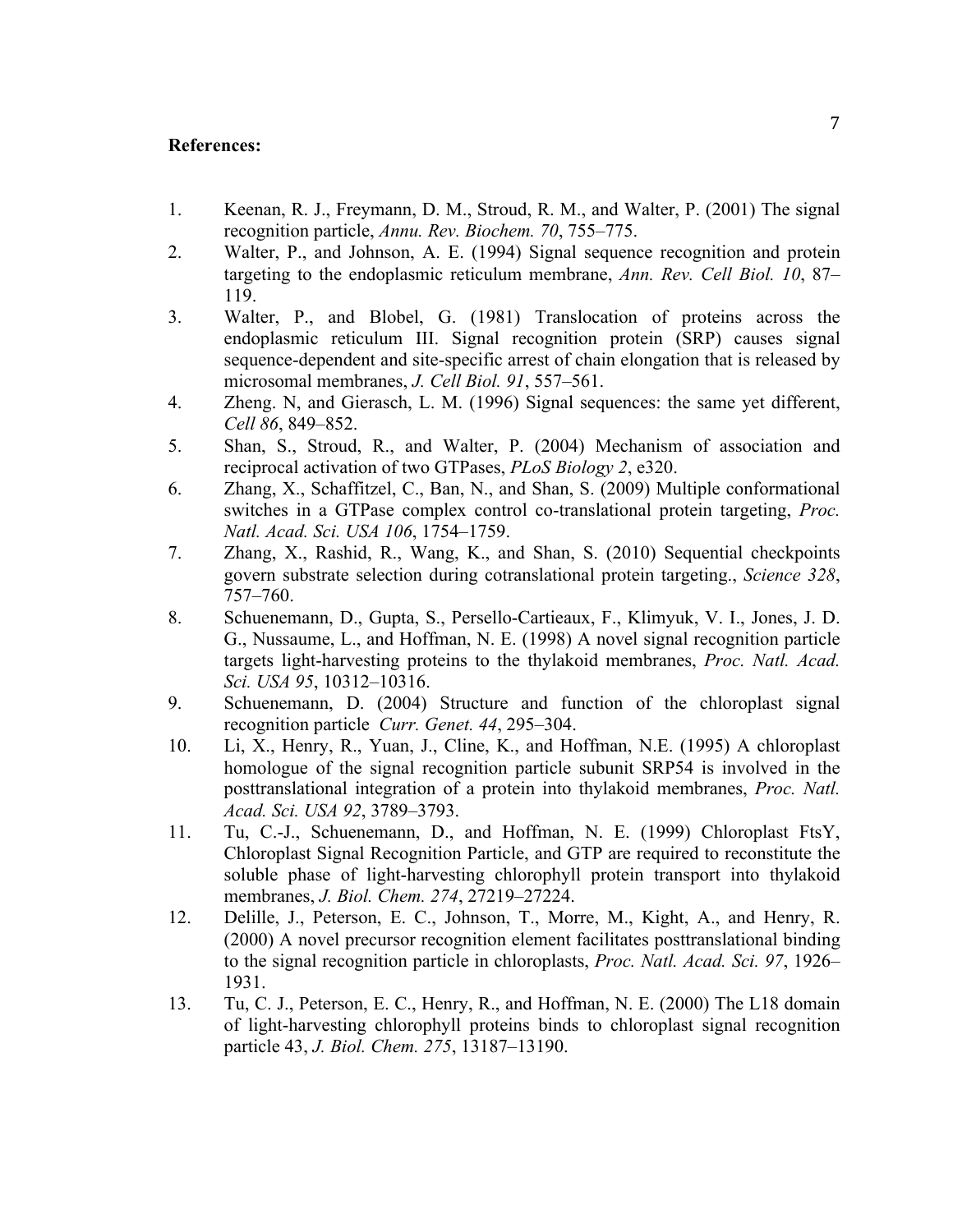### **References:**

- 1. Keenan, R. J., Freymann, D. M., Stroud, R. M., and Walter, P. (2001) The signal recognition particle, *Annu. Rev. Biochem. 70*, 755–775.
- 2. Walter, P., and Johnson, A. E. (1994) Signal sequence recognition and protein targeting to the endoplasmic reticulum membrane, *Ann. Rev. Cell Biol. 10*, 87– 119.
- 3. Walter, P., and Blobel, G. (1981) Translocation of proteins across the endoplasmic reticulum III. Signal recognition protein (SRP) causes signal sequence-dependent and site-specific arrest of chain elongation that is released by microsomal membranes, *J. Cell Biol. 91*, 557–561.
- 4. Zheng. N, and Gierasch, L. M. (1996) Signal sequences: the same yet different, *Cell 86*, 849–852.
- 5. Shan, S., Stroud, R., and Walter, P. (2004) Mechanism of association and reciprocal activation of two GTPases, *PLoS Biology 2*, e320.
- 6. Zhang, X., Schaffitzel, C., Ban, N., and Shan, S. (2009) Multiple conformational switches in a GTPase complex control co-translational protein targeting, *Proc. Natl. Acad. Sci. USA 106*, 1754–1759.
- 7. Zhang, X., Rashid, R., Wang, K., and Shan, S. (2010) Sequential checkpoints govern substrate selection during cotranslational protein targeting., *Science 328*, 757–760.
- 8. Schuenemann, D., Gupta, S., Persello-Cartieaux, F., Klimyuk, V. I., Jones, J. D. G., Nussaume, L., and Hoffman, N. E. (1998) A novel signal recognition particle targets light-harvesting proteins to the thylakoid membranes, *Proc. Natl. Acad. Sci. USA 95*, 10312–10316.
- 9. Schuenemann, D. (2004) Structure and function of the chloroplast signal recognition particle *Curr. Genet. 44*, 295–304.
- 10. Li, X., Henry, R., Yuan, J., Cline, K., and Hoffman, N.E. (1995) A chloroplast homologue of the signal recognition particle subunit SRP54 is involved in the posttranslational integration of a protein into thylakoid membranes, *Proc. Natl. Acad. Sci. USA 92*, 3789–3793.
- 11. Tu, C.-J., Schuenemann, D., and Hoffman, N. E. (1999) Chloroplast FtsY, Chloroplast Signal Recognition Particle, and GTP are required to reconstitute the soluble phase of light-harvesting chlorophyll protein transport into thylakoid membranes, *J. Biol. Chem. 274*, 27219–27224.
- 12. Delille, J., Peterson, E. C., Johnson, T., Morre, M., Kight, A., and Henry, R. (2000) A novel precursor recognition element facilitates posttranslational binding to the signal recognition particle in chloroplasts, *Proc. Natl. Acad. Sci. 97*, 1926– 1931.
- 13. Tu, C. J., Peterson, E. C., Henry, R., and Hoffman, N. E. (2000) The L18 domain of light-harvesting chlorophyll proteins binds to chloroplast signal recognition particle 43, *J. Biol. Chem. 275*, 13187–13190.